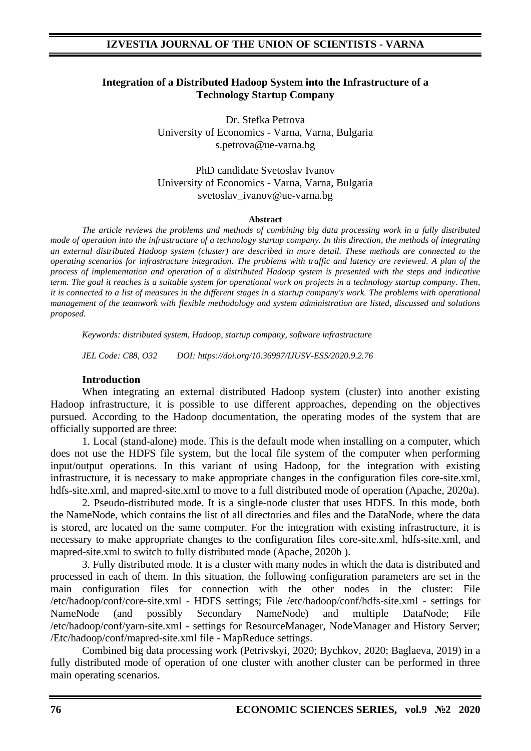### **Integration of a Distributed Hadoop System into the Infrastructure of a Technology Startup Company**

Dr. Stefka Petrova University of Economics - Varna, Varna, Bulgaria s.petrova@ue-varna.bg

PhD candidate Svetoslav Ivanov University of Economics - Varna, Varna, Bulgaria svetoslav\_ivanov@ue-varna.bg

#### **Abstract**

*The article reviews the problems and methods of combining big data processing work in a fully distributed mode of operation into the infrastructure of a technology startup company. In this direction, the methods of integrating an external distributed Hadoop system (cluster) are described in more detail. These methods are connected to the operating scenarios for infrastructure integration. The problems with traffic and latency are reviewed. A plan of the process of implementation and operation of a distributed Hadoop system is presented with the steps and indicative term. The goal it reaches is a suitable system for operational work on projects in a technology startup company. Then, it is connected to a list of measures in the different stages in a startup company's work. The problems with operational management of the teamwork with flexible methodology and system administration are listed, discussed and solutions proposed.*

*Keywords: distributed system, Hadoop, startup company, software infrastructure*

*JEL Code: C88, O32 DOI: https://doi.org/10.36997/IJUSV-ESS/2020.9.2.76*

#### **Introduction**

When integrating an external distributed Hadoop system (cluster) into another existing Hadoop infrastructure, it is possible to use different approaches, depending on the objectives pursued. According to the Hadoop documentation, the operating modes of the system that are officially supported are three:

1. Local (stand-alone) mode. This is the default mode when installing on a computer, which does not use the HDFS file system, but the local file system of the computer when performing input/output operations. In this variant of using Hadoop, for the integration with existing infrastructure, it is necessary to make appropriate changes in the configuration files core-site.xml, hdfs-site.xml, and mapred-site.xml to move to a full distributed mode of operation (Apache, 2020a).

2. Pseudo-distributed mode. It is a single-node cluster that uses HDFS. In this mode, both the NameNode, which contains the list of all directories and files and the DataNode, where the data is stored, are located on the same computer. For the integration with existing infrastructure, it is necessary to make appropriate changes to the configuration files core-site.xml, hdfs-site.xml, and mapred-site.xml to switch to fully distributed mode (Apache, 2020b ).

3. Fully distributed mode. It is a cluster with many nodes in which the data is distributed and processed in each of them. In this situation, the following configuration parameters are set in the main configuration files for connection with the other nodes in the cluster: File /etc/hadoop/conf/core-site.xml - HDFS settings; File /etc/hadoop/conf/hdfs-site.xml - settings for NameNode (and possibly Secondary NameNode) and multiple DataNode; File /etc/hadoop/conf/yarn-site.xml - settings for ResourceManager, NodeManager and History Server; /Etc/hadoop/conf/mapred-site.xml file - MapReduce settings.

Combined big data processing work (Petrivskyi, 2020; Bychkov, 2020; Baglaeva, 2019) in a fully distributed mode of operation of one cluster with another cluster can be performed in three main operating scenarios.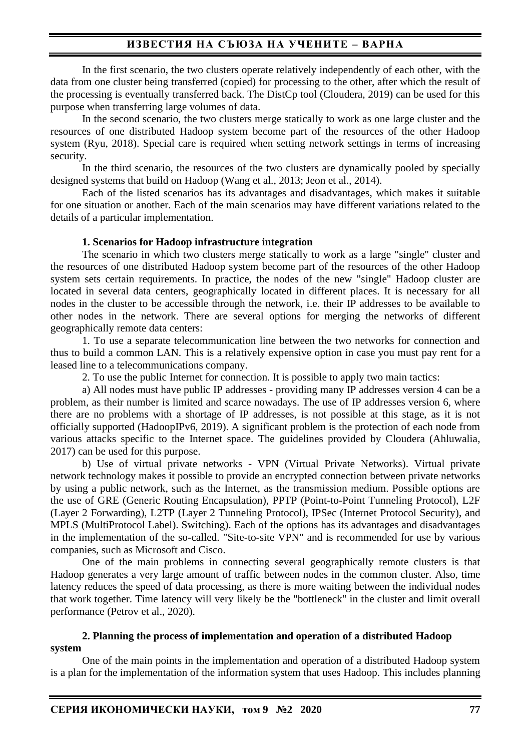In the first scenario, the two clusters operate relatively independently of each other, with the data from one cluster being transferred (copied) for processing to the other, after which the result of the processing is eventually transferred back. The DistCp tool (Cloudera, 2019) can be used for this purpose when transferring large volumes of data.

In the second scenario, the two clusters merge statically to work as one large cluster and the resources of one distributed Hadoop system become part of the resources of the other Hadoop system (Ryu, 2018). Special care is required when setting network settings in terms of increasing security.

In the third scenario, the resources of the two clusters are dynamically pooled by specially designed systems that build on Hadoop (Wang et al., 2013; Jeon et al., 2014).

Each of the listed scenarios has its advantages and disadvantages, which makes it suitable for one situation or another. Each of the main scenarios may have different variations related to the details of a particular implementation.

#### **1. Scenarios for Hadoop infrastructure integration**

The scenario in which two clusters merge statically to work as a large "single" cluster and the resources of one distributed Hadoop system become part of the resources of the other Hadoop system sets certain requirements. In practice, the nodes of the new "single" Hadoop cluster are located in several data centers, geographically located in different places. It is necessary for all nodes in the cluster to be accessible through the network, i.e. their IP addresses to be available to other nodes in the network. There are several options for merging the networks of different geographically remote data centers:

1. To use a separate telecommunication line between the two networks for connection and thus to build a common LAN. This is a relatively expensive option in case you must pay rent for a leased line to a telecommunications company.

2. To use the public Internet for connection. It is possible to apply two main tactics:

a) All nodes must have public IP addresses - providing many IP addresses version 4 can be a problem, as their number is limited and scarce nowadays. The use of IP addresses version 6, where there are no problems with a shortage of IP addresses, is not possible at this stage, as it is not officially supported (HadoopIPv6, 2019). A significant problem is the protection of each node from various attacks specific to the Internet space. The guidelines provided by Cloudera (Ahluwalia, 2017) can be used for this purpose.

b) Use of virtual private networks - VPN (Virtual Private Networks). Virtual private network technology makes it possible to provide an encrypted connection between private networks by using a public network, such as the Internet, as the transmission medium. Possible options are the use of GRE (Generic Routing Encapsulation), PPTP (Point-to-Point Tunneling Protocol), L2F (Layer 2 Forwarding), L2TP (Layer 2 Tunneling Protocol), IPSec (Internet Protocol Security), and MPLS (MultiProtocol Label). Switching). Each of the options has its advantages and disadvantages in the implementation of the so-called. "Site-to-site VPN" and is recommended for use by various companies, such as Microsoft and Cisco.

One of the main problems in connecting several geographically remote clusters is that Hadoop generates a very large amount of traffic between nodes in the common cluster. Also, time latency reduces the speed of data processing, as there is more waiting between the individual nodes that work together. Time latency will very likely be the "bottleneck" in the cluster and limit overall performance (Petrov et al., 2020).

### **2. Planning the process of implementation and operation of a distributed Hadoop system**

One of the main points in the implementation and operation of a distributed Hadoop system is a plan for the implementation of the information system that uses Hadoop. This includes planning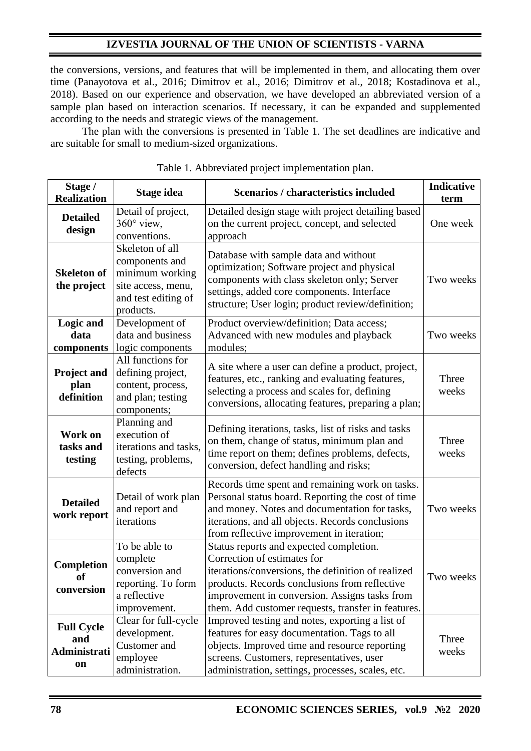the conversions, versions, and features that will be implemented in them, and allocating them over time (Panayotova et al., 2016; Dimitrov et al., 2016; Dimitrov et al., 2018; Kostadinova et al., 2018). Based on our experience and observation, we have developed an abbreviated version of a sample plan based on interaction scenarios. If necessary, it can be expanded and supplemented according to the needs and strategic views of the management.

The plan with the conversions is presented in Table 1. The set deadlines are indicative and are suitable for small to medium-sized organizations.

| Stage /<br><b>Realization</b>                  | Stage idea                                                                                                     | Scenarios / characteristics included                                                                                                                                                                                                                                                 | <b>Indicative</b><br>term |
|------------------------------------------------|----------------------------------------------------------------------------------------------------------------|--------------------------------------------------------------------------------------------------------------------------------------------------------------------------------------------------------------------------------------------------------------------------------------|---------------------------|
| <b>Detailed</b><br>design                      | Detail of project,<br>$360^\circ$ view,<br>conventions.                                                        | Detailed design stage with project detailing based<br>on the current project, concept, and selected<br>approach                                                                                                                                                                      | One week                  |
| <b>Skeleton of</b><br>the project              | Skeleton of all<br>components and<br>minimum working<br>site access, menu,<br>and test editing of<br>products. | Database with sample data and without<br>optimization; Software project and physical<br>components with class skeleton only; Server<br>settings, added core components. Interface<br>structure; User login; product review/definition;                                               | Two weeks                 |
| <b>Logic and</b><br>data<br>components         | Development of<br>data and business<br>logic components                                                        | Product overview/definition; Data access;<br>Advanced with new modules and playback<br>modules;                                                                                                                                                                                      | Two weeks                 |
| <b>Project and</b><br>plan<br>definition       | All functions for<br>defining project,<br>content, process,<br>and plan; testing<br>components;                | A site where a user can define a product, project,<br>features, etc., ranking and evaluating features,<br>selecting a process and scales for, defining<br>conversions, allocating features, preparing a plan;                                                                        | Three<br>weeks            |
| Work on<br>tasks and<br>testing                | Planning and<br>execution of<br>iterations and tasks,<br>testing, problems,<br>defects                         | Defining iterations, tasks, list of risks and tasks<br>on them, change of status, minimum plan and<br>time report on them; defines problems, defects,<br>conversion, defect handling and risks;                                                                                      | Three<br>weeks            |
| <b>Detailed</b><br>work report                 | Detail of work plan<br>and report and<br>iterations                                                            | Records time spent and remaining work on tasks.<br>Personal status board. Reporting the cost of time<br>and money. Notes and documentation for tasks,<br>iterations, and all objects. Records conclusions<br>from reflective improvement in iteration;                               | Two weeks                 |
| <b>Completion</b><br>of<br>conversion          | To be able to<br>complete<br>conversion and<br>reporting. To form<br>a reflective<br>improvement.              | Status reports and expected completion.<br>Correction of estimates for<br>iterations/conversions, the definition of realized<br>products. Records conclusions from reflective<br>improvement in conversion. Assigns tasks from<br>them. Add customer requests, transfer in features. | Two weeks                 |
| <b>Full Cycle</b><br>and<br>Administrati<br>on | Clear for full-cycle<br>development.<br>Customer and<br>employee<br>administration.                            | Improved testing and notes, exporting a list of<br>features for easy documentation. Tags to all<br>objects. Improved time and resource reporting<br>screens. Customers, representatives, user<br>administration, settings, processes, scales, etc.                                   | Three<br>weeks            |

|  |  |  |  | Table 1. Abbreviated project implementation plan. |  |
|--|--|--|--|---------------------------------------------------|--|
|  |  |  |  |                                                   |  |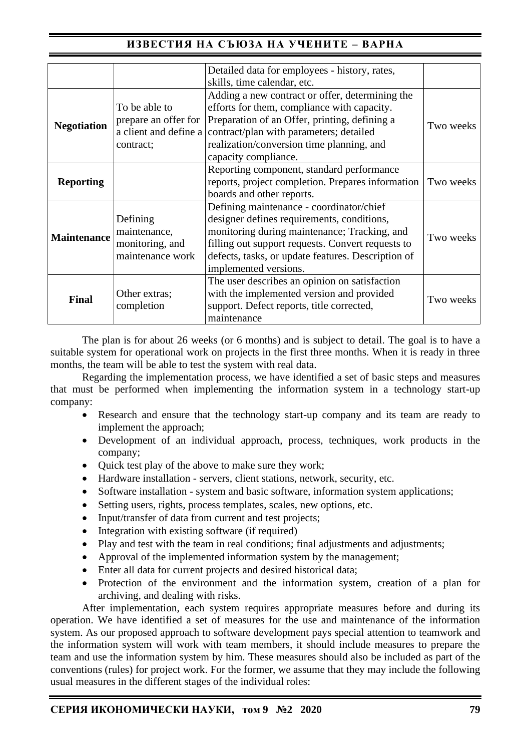|                    |                       | Detailed data for employees - history, rates,                                        |           |  |  |
|--------------------|-----------------------|--------------------------------------------------------------------------------------|-----------|--|--|
|                    |                       | skills, time calendar, etc.                                                          |           |  |  |
| <b>Negotiation</b> |                       | Adding a new contract or offer, determining the                                      |           |  |  |
|                    | To be able to         | efforts for them, compliance with capacity.                                          |           |  |  |
|                    | prepare an offer for  | Preparation of an Offer, printing, defining a                                        | Two weeks |  |  |
|                    | a client and define a | contract/plan with parameters; detailed<br>realization/conversion time planning, and |           |  |  |
|                    | contract;             |                                                                                      |           |  |  |
|                    |                       | capacity compliance.                                                                 |           |  |  |
| <b>Reporting</b>   |                       | Reporting component, standard performance                                            |           |  |  |
|                    |                       | reports, project completion. Prepares information                                    | Two weeks |  |  |
|                    |                       |                                                                                      |           |  |  |
| <b>Maintenance</b> |                       | Defining maintenance - coordinator/chief                                             |           |  |  |
|                    | Defining              | designer defines requirements, conditions,                                           | Two weeks |  |  |
|                    | maintenance,          | monitoring during maintenance; Tracking, and                                         |           |  |  |
|                    | monitoring, and       | filling out support requests. Convert requests to                                    |           |  |  |
|                    | maintenance work      | defects, tasks, or update features. Description of                                   |           |  |  |
|                    |                       | implemented versions.                                                                |           |  |  |
| <b>Final</b>       |                       | The user describes an opinion on satisfaction                                        |           |  |  |
|                    | Other extras;         | with the implemented version and provided                                            |           |  |  |
|                    | completion            | support. Defect reports, title corrected,                                            | Two weeks |  |  |
|                    |                       | maintenance                                                                          |           |  |  |

The plan is for about 26 weeks (or 6 months) and is subject to detail. The goal is to have a suitable system for operational work on projects in the first three months. When it is ready in three months, the team will be able to test the system with real data.

Regarding the implementation process, we have identified a set of basic steps and measures that must be performed when implementing the information system in a technology start-up company:

- Research and ensure that the technology start-up company and its team are ready to implement the approach;
- Development of an individual approach, process, techniques, work products in the company;
- Ouick test play of the above to make sure they work:
- Hardware installation servers, client stations, network, security, etc.
- Software installation system and basic software, information system applications;
- Setting users, rights, process templates, scales, new options, etc.
- Input/transfer of data from current and test projects;
- Integration with existing software (if required)
- Play and test with the team in real conditions; final adjustments and adjustments;
- Approval of the implemented information system by the management;
- Enter all data for current projects and desired historical data;
- Protection of the environment and the information system, creation of a plan for archiving, and dealing with risks.

After implementation, each system requires appropriate measures before and during its operation. We have identified a set of measures for the use and maintenance of the information system. As our proposed approach to software development pays special attention to teamwork and the information system will work with team members, it should include measures to prepare the team and use the information system by him. These measures should also be included as part of the conventions (rules) for project work. For the former, we assume that they may include the following usual measures in the different stages of the individual roles: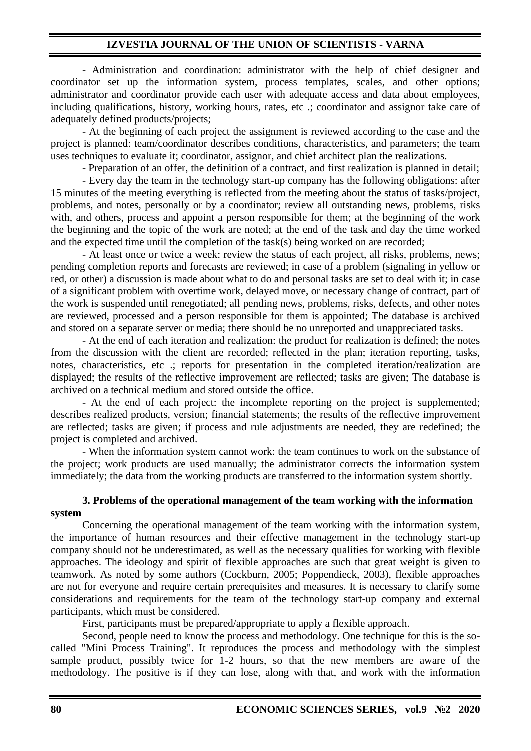- Administration and coordination: administrator with the help of chief designer and coordinator set up the information system, process templates, scales, and other options; administrator and coordinator provide each user with adequate access and data about employees, including qualifications, history, working hours, rates, etc .; coordinator and assignor take care of adequately defined products/projects;

- At the beginning of each project the assignment is reviewed according to the case and the project is planned: team/coordinator describes conditions, characteristics, and parameters; the team uses techniques to evaluate it; coordinator, assignor, and chief architect plan the realizations.

- Preparation of an offer, the definition of a contract, and first realization is planned in detail;

- Every day the team in the technology start-up company has the following obligations: after 15 minutes of the meeting everything is reflected from the meeting about the status of tasks/project, problems, and notes, personally or by a coordinator; review all outstanding news, problems, risks with, and others, process and appoint a person responsible for them; at the beginning of the work the beginning and the topic of the work are noted; at the end of the task and day the time worked and the expected time until the completion of the task(s) being worked on are recorded;

- At least once or twice a week: review the status of each project, all risks, problems, news; pending completion reports and forecasts are reviewed; in case of a problem (signaling in yellow or red, or other) a discussion is made about what to do and personal tasks are set to deal with it; in case of a significant problem with overtime work, delayed move, or necessary change of contract, part of the work is suspended until renegotiated; all pending news, problems, risks, defects, and other notes are reviewed, processed and a person responsible for them is appointed; The database is archived and stored on a separate server or media; there should be no unreported and unappreciated tasks.

- At the end of each iteration and realization: the product for realization is defined; the notes from the discussion with the client are recorded; reflected in the plan; iteration reporting, tasks, notes, characteristics, etc .; reports for presentation in the completed iteration/realization are displayed; the results of the reflective improvement are reflected; tasks are given; The database is archived on a technical medium and stored outside the office.

- At the end of each project: the incomplete reporting on the project is supplemented; describes realized products, version; financial statements; the results of the reflective improvement are reflected; tasks are given; if process and rule adjustments are needed, they are redefined; the project is completed and archived.

- When the information system cannot work: the team continues to work on the substance of the project; work products are used manually; the administrator corrects the information system immediately; the data from the working products are transferred to the information system shortly.

### **3. Problems of the operational management of the team working with the information system**

Concerning the operational management of the team working with the information system, the importance of human resources and their effective management in the technology start-up company should not be underestimated, as well as the necessary qualities for working with flexible approaches. The ideology and spirit of flexible approaches are such that great weight is given to teamwork. As noted by some authors (Cockburn, 2005; Poppendieck, 2003), flexible approaches are not for everyone and require certain prerequisites and measures. It is necessary to clarify some considerations and requirements for the team of the technology start-up company and external participants, which must be considered.

First, participants must be prepared/appropriate to apply a flexible approach.

Second, people need to know the process and methodology. One technique for this is the socalled "Mini Process Training". It reproduces the process and methodology with the simplest sample product, possibly twice for 1-2 hours, so that the new members are aware of the methodology. The positive is if they can lose, along with that, and work with the information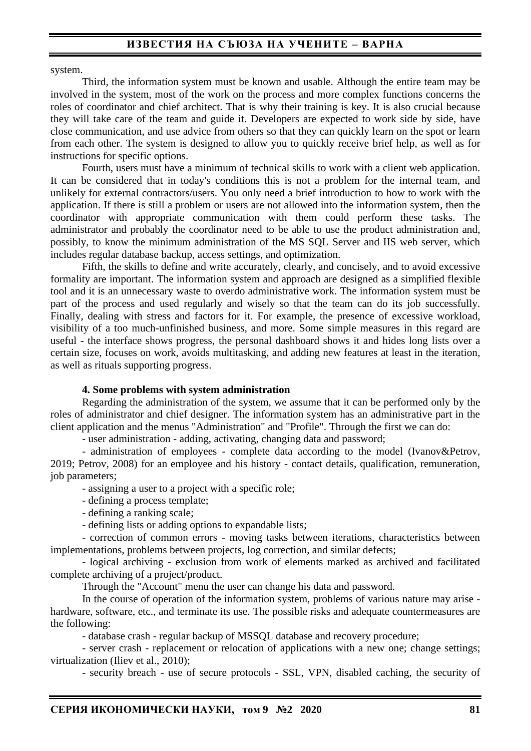system.

Third, the information system must be known and usable. Although the entire team may be involved in the system, most of the work on the process and more complex functions concerns the roles of coordinator and chief architect. That is why their training is key. It is also crucial because they will take care of the team and guide it. Developers are expected to work side by side, have close communication, and use advice from others so that they can quickly learn on the spot or learn from each other. The system is designed to allow you to quickly receive brief help, as well as for instructions for specific options.

Fourth, users must have a minimum of technical skills to work with a client web application. It can be considered that in today's conditions this is not a problem for the internal team, and unlikely for external contractors/users. You only need a brief introduction to how to work with the application. If there is still a problem or users are not allowed into the information system, then the coordinator with appropriate communication with them could perform these tasks. The administrator and probably the coordinator need to be able to use the product administration and, possibly, to know the minimum administration of the MS SQL Server and IIS web server, which includes regular database backup, access settings, and optimization.

Fifth, the skills to define and write accurately, clearly, and concisely, and to avoid excessive formality are important. The information system and approach are designed as a simplified flexible tool and it is an unnecessary waste to overdo administrative work. The information system must be part of the process and used regularly and wisely so that the team can do its job successfully. Finally, dealing with stress and factors for it. For example, the presence of excessive workload, visibility of a too much-unfinished business, and more. Some simple measures in this regard are useful - the interface shows progress, the personal dashboard shows it and hides long lists over a certain size, focuses on work, avoids multitasking, and adding new features at least in the iteration, as well as rituals supporting progress.

#### **4. Some problems with system administration**

Regarding the administration of the system, we assume that it can be performed only by the roles of administrator and chief designer. The information system has an administrative part in the client application and the menus "Administration" and "Profile". Through the first we can do:

- user administration - adding, activating, changing data and password;

- administration of employees - complete data according to the model (Ivanov&Petrov, 2019; Petrov, 2008) for an employee and his history - contact details, qualification, remuneration, job parameters;

- assigning a user to a project with a specific role;

- defining a process template;
- defining a ranking scale;

- defining lists or adding options to expandable lists;

- correction of common errors - moving tasks between iterations, characteristics between implementations, problems between projects, log correction, and similar defects;

- logical archiving - exclusion from work of elements marked as archived and facilitated complete archiving of a project/product.

Through the "Account" menu the user can change his data and password.

In the course of operation of the information system, problems of various nature may arise hardware, software, etc., and terminate its use. The possible risks and adequate countermeasures are the following:

- database crash - regular backup of MSSQL database and recovery procedure;

- server crash - replacement or relocation of applications with a new one; change settings; virtualization (Iliev et al., 2010);

- security breach - use of secure protocols - SSL, VPN, disabled caching, the security of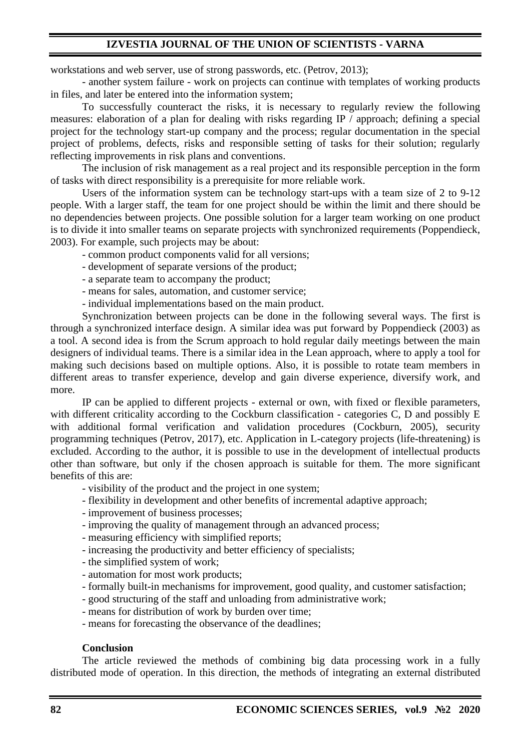workstations and web server, use of strong passwords, etc. (Petrov, 2013);

- another system failure - work on projects can continue with templates of working products in files, and later be entered into the information system;

To successfully counteract the risks, it is necessary to regularly review the following measures: elaboration of a plan for dealing with risks regarding IP / approach; defining a special project for the technology start-up company and the process; regular documentation in the special project of problems, defects, risks and responsible setting of tasks for their solution; regularly reflecting improvements in risk plans and conventions.

The inclusion of risk management as a real project and its responsible perception in the form of tasks with direct responsibility is a prerequisite for more reliable work.

Users of the information system can be technology start-ups with a team size of 2 to 9-12 people. With a larger staff, the team for one project should be within the limit and there should be no dependencies between projects. One possible solution for a larger team working on one product is to divide it into smaller teams on separate projects with synchronized requirements (Poppendieck, 2003). For example, such projects may be about:

- common product components valid for all versions;

- development of separate versions of the product;

- a separate team to accompany the product;

- means for sales, automation, and customer service;

- individual implementations based on the main product.

Synchronization between projects can be done in the following several ways. The first is through a synchronized interface design. A similar idea was put forward by Poppendieck (2003) as a tool. A second idea is from the Scrum approach to hold regular daily meetings between the main designers of individual teams. There is a similar idea in the Lean approach, where to apply a tool for making such decisions based on multiple options. Also, it is possible to rotate team members in different areas to transfer experience, develop and gain diverse experience, diversify work, and more.

IP can be applied to different projects - external or own, with fixed or flexible parameters, with different criticality according to the Cockburn classification - categories C, D and possibly E with additional formal verification and validation procedures (Cockburn, 2005), security programming techniques (Petrov, 2017), etc. Application in L-category projects (life-threatening) is excluded. According to the author, it is possible to use in the development of intellectual products other than software, but only if the chosen approach is suitable for them. The more significant benefits of this are:

- visibility of the product and the project in one system;

- flexibility in development and other benefits of incremental adaptive approach;

- improvement of business processes;
- improving the quality of management through an advanced process;
- measuring efficiency with simplified reports;
- increasing the productivity and better efficiency of specialists;
- the simplified system of work;
- automation for most work products;
- formally built-in mechanisms for improvement, good quality, and customer satisfaction;
- good structuring of the staff and unloading from administrative work;
- means for distribution of work by burden over time;
- means for forecasting the observance of the deadlines;

#### **Conclusion**

The article reviewed the methods of combining big data processing work in a fully distributed mode of operation. In this direction, the methods of integrating an external distributed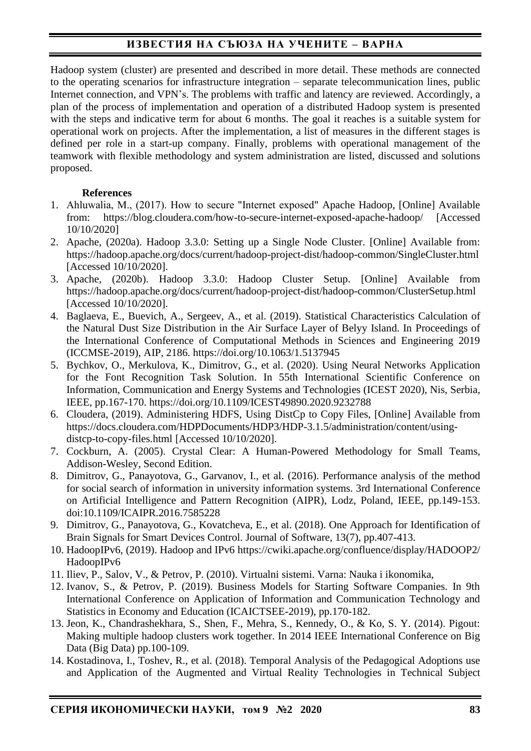Hadoop system (cluster) are presented and described in more detail. These methods are connected to the operating scenarios for infrastructure integration – separate telecommunication lines, public Internet connection, and VPN's. The problems with traffic and latency are reviewed. Accordingly, a plan of the process of implementation and operation of a distributed Hadoop system is presented with the steps and indicative term for about 6 months. The goal it reaches is a suitable system for operational work on projects. After the implementation, a list of measures in the different stages is defined per role in a start-up company. Finally, problems with operational management of the teamwork with flexible methodology and system administration are listed, discussed and solutions proposed.

## **References**

- 1. Ahluwalia, М., (2017). How to secure "Internet exposed" Apache Hadoop, [Online] Available from: https://blog.cloudera.com/how-to-secure-internet-exposed-apache-hadoop/ [Accessed 10/10/2020]
- 2. Apache, (2020a). Hadoop 3.3.0: Setting up a Single Node Cluster. [Online] Available from: https://hadoop.apache.org/docs/current/hadoop-project-dist/hadoop-common/SingleCluster.html [Accessed 10/10/2020].
- 3. Apache, (2020b). Hadoop 3.3.0: Hadoop Cluster Setup. [Online] Available from https://hadoop.apache.org/docs/current/hadoop-project-dist/hadoop-common/ClusterSetup.html [Accessed 10/10/2020].
- 4. Baglaeva, E., Buevich, A., Sergeev, A., et al. (2019). Statistical Characteristics Calculation of the Natural Dust Size Distribution in the Air Surface Layer of Belyy Island. In Proceedings of the International Conference of Computational Methods in Sciences and Engineering 2019 (ICCMSE-2019), AIP, 2186. https://doi.org/10.1063/1.5137945
- 5. Bychkov, O., Merkulova, K., Dimitrov, G., et al. (2020). Using Neural Networks Application for the Font Recognition Task Solution. In 55th International Scientific Conference on Information, Communication and Energy Systems and Technologies (ICEST 2020), Nis, Serbia, IEEE, pp.167-170. https://doi.org/10.1109/ICEST49890.2020.9232788
- 6. Cloudera, (2019). Administering HDFS, Using DistCp to Copy Files, [Online] Available from https://docs.cloudera.com/HDPDocuments/HDP3/HDP-3.1.5/administration/content/usingdistcp-to-copy-files.html [Accessed 10/10/2020].
- 7. Cockburn, A. (2005). Crystal Clear: A Human-Powered Methodology for Small Teams, Addison-Wesley, Second Edition.
- 8. Dimitrov, G., Panayotova, G., Garvanov, I., et al. (2016). Performance analysis of the method for social search of information in university information systems. 3rd International Conference on Artificial Intelligence and Pattern Recognition (AIPR), Lodz, Poland, IEEE, pp.149-153. doi:10.1109/ICAIPR.2016.7585228
- 9. Dimitrov, G., Panayotova, G., Kovatcheva, E., et al. (2018). One Approach for Identification of Brain Signals for Smart Devices Control. Journal of Software, 13(7), pp.407-413.
- 10. HadoopIPv6, (2019). Hadoop and IPv6 https://cwiki.apache.org/confluence/display/HADOOP2/ HadoopIPv6
- 11. Iliev, P., Salov, V., & Petrov, P. (2010). Virtualni sistemi. Varna: Nauka i ikonomika,
- 12. Ivanov, S., & Petrov, P. (2019). Business Models for Starting Software Companies. In 9th International Conference on Application of Information and Communication Technology and Statistics in Economy and Education (ICAICTSEE-2019), pp.170-182.
- 13. Jeon, K., Chandrashekhara, S., Shen, F., Mehra, S., Kennedy, O., & Ko, S. Y. (2014). Pigout: Making multiple hadoop clusters work together. In 2014 IEEE International Conference on Big Data (Big Data) pp.100-109.
- 14. Kostadinova, I., Toshev, R., et al. (2018). Temporal Analysis of the Pedagogical Adoptions use and Application of the Augmented and Virtual Reality Technologies in Technical Subject